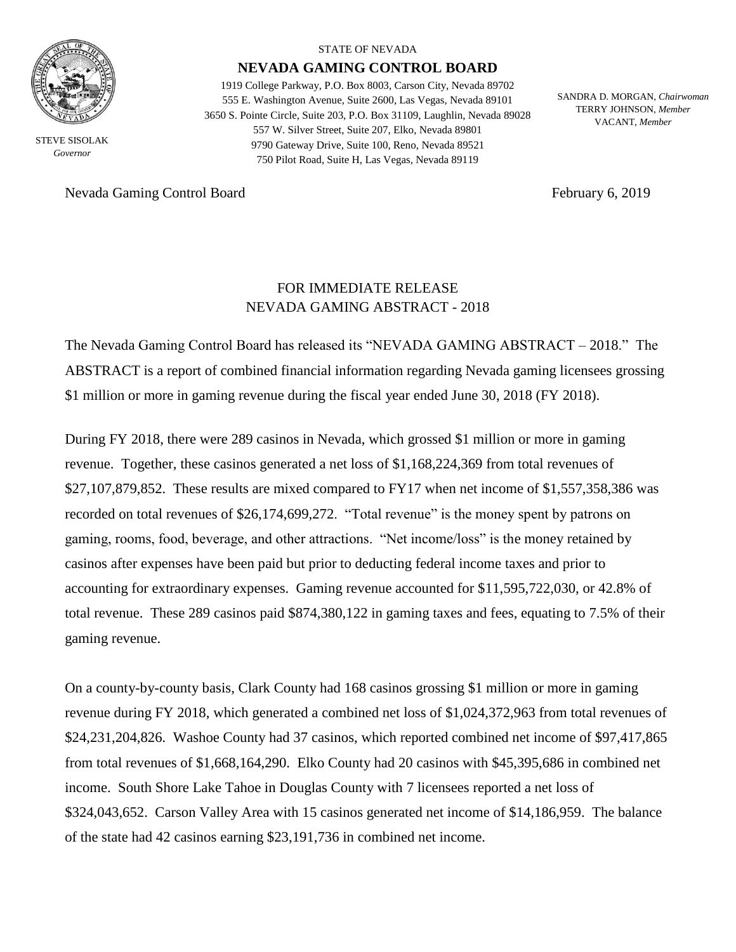

STEVE SISOLAK *Governor*

Nevada Gaming Control Board February 6, 2019

#### STATE OF NEVADA

### **NEVADA GAMING CONTROL BOARD**

1919 College Parkway, P.O. Box 8003, Carson City, Nevada 89702 555 E. Washington Avenue, Suite 2600, Las Vegas, Nevada 89101 3650 S. Pointe Circle, Suite 203, P.O. Box 31109, Laughlin, Nevada 89028 557 W. Silver Street, Suite 207, Elko, Nevada 89801 9790 Gateway Drive, Suite 100, Reno, Nevada 89521 750 Pilot Road, Suite H, Las Vegas, Nevada 89119

SANDRA D. MORGAN, *Chairwoman* TERRY JOHNSON, *Member* VACANT, *Member*

# FOR IMMEDIATE RELEASE NEVADA GAMING ABSTRACT - 2018

The Nevada Gaming Control Board has released its "NEVADA GAMING ABSTRACT – 2018." The ABSTRACT is a report of combined financial information regarding Nevada gaming licensees grossing \$1 million or more in gaming revenue during the fiscal year ended June 30, 2018 (FY 2018).

During FY 2018, there were 289 casinos in Nevada, which grossed \$1 million or more in gaming revenue. Together, these casinos generated a net loss of \$1,168,224,369 from total revenues of \$27,107,879,852. These results are mixed compared to FY17 when net income of \$1,557,358,386 was recorded on total revenues of \$26,174,699,272. "Total revenue" is the money spent by patrons on gaming, rooms, food, beverage, and other attractions. "Net income/loss" is the money retained by casinos after expenses have been paid but prior to deducting federal income taxes and prior to accounting for extraordinary expenses. Gaming revenue accounted for \$11,595,722,030, or 42.8% of total revenue. These 289 casinos paid \$874,380,122 in gaming taxes and fees, equating to 7.5% of their gaming revenue.

On a county-by-county basis, Clark County had 168 casinos grossing \$1 million or more in gaming revenue during FY 2018, which generated a combined net loss of \$1,024,372,963 from total revenues of \$24,231,204,826. Washoe County had 37 casinos, which reported combined net income of \$97,417,865 from total revenues of \$1,668,164,290. Elko County had 20 casinos with \$45,395,686 in combined net income. South Shore Lake Tahoe in Douglas County with 7 licensees reported a net loss of \$324,043,652. Carson Valley Area with 15 casinos generated net income of \$14,186,959. The balance of the state had 42 casinos earning \$23,191,736 in combined net income.